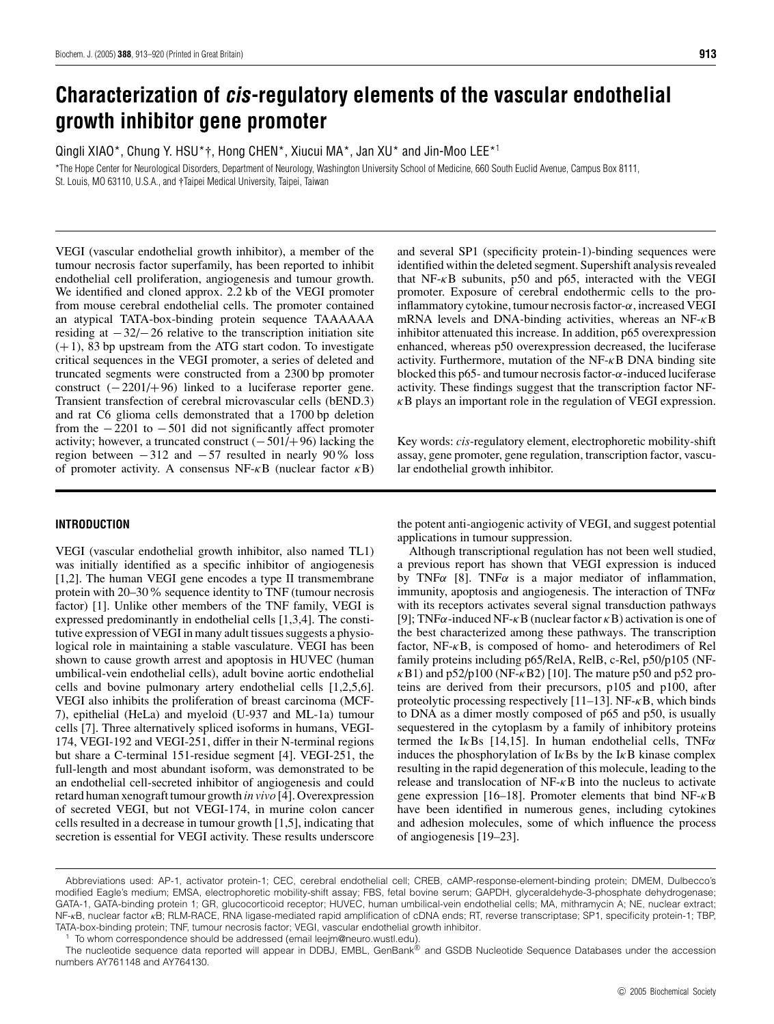# **Characterization of cis-regulatory elements of the vascular endothelial growth inhibitor gene promoter**

Qingli XIAO\*, Chung Y. HSU\*†, Hong CHEN\*, Xiucui MA\*, Jan XU\* and Jin-Moo LEE\*<sup>1</sup>

\*The Hope Center for Neurological Disorders, Department of Neurology, Washington University School of Medicine, 660 South Euclid Avenue, Campus Box 8111, St. Louis, MO 63110, U.S.A., and †Taipei Medical University, Taipei, Taiwan

VEGI (vascular endothelial growth inhibitor), a member of the tumour necrosis factor superfamily, has been reported to inhibit endothelial cell proliferation, angiogenesis and tumour growth. We identified and cloned approx. 2.2 kb of the VEGI promoter from mouse cerebral endothelial cells. The promoter contained an atypical TATA-box-binding protein sequence TAAAAAA residing at  $-32/-26$  relative to the transcription initiation site  $(+1)$ , 83 bp upstream from the ATG start codon. To investigate critical sequences in the VEGI promoter, a series of deleted and truncated segments were constructed from a 2300 bp promoter construct  $(-2201/+96)$  linked to a luciferase reporter gene. Transient transfection of cerebral microvascular cells (bEND.3) and rat C6 glioma cells demonstrated that a 1700 bp deletion from the  $-2201$  to  $-501$  did not significantly affect promoter activity; however, a truncated construct  $(-501/+96)$  lacking the region between  $-312$  and  $-57$  resulted in nearly 90% loss of promoter activity. A consensus NF- $\kappa$ B (nuclear factor  $\kappa$ B)

# **INTRODUCTION**

VEGI (vascular endothelial growth inhibitor, also named TL1) was initially identified as a specific inhibitor of angiogenesis [1,2]. The human VEGI gene encodes a type II transmembrane protein with 20–30% sequence identity to TNF (tumour necrosis factor) [1]. Unlike other members of the TNF family, VEGI is expressed predominantly in endothelial cells [1,3,4]. The constitutive expression of VEGI in many adult tissues suggests a physiological role in maintaining a stable vasculature. VEGI has been shown to cause growth arrest and apoptosis in HUVEC (human umbilical-vein endothelial cells), adult bovine aortic endothelial cells and bovine pulmonary artery endothelial cells [1,2,5,6]. VEGI also inhibits the proliferation of breast carcinoma (MCF-7), epithelial (HeLa) and myeloid (U-937 and ML-1a) tumour cells [7]. Three alternatively spliced isoforms in humans, VEGI-174, VEGI-192 and VEGI-251, differ in their N-terminal regions but share a C-terminal 151-residue segment [4]. VEGI-251, the full-length and most abundant isoform, was demonstrated to be an endothelial cell-secreted inhibitor of angiogenesis and could retard human xenograft tumour growth *in vivo* [4]. Overexpression of secreted VEGI, but not VEGI-174, in murine colon cancer cells resulted in a decrease in tumour growth [1,5], indicating that secretion is essential for VEGI activity. These results underscore

and several SP1 (specificity protein-1)-binding sequences were identified within the deleted segment. Supershift analysis revealed that NF- $\kappa$ B subunits, p50 and p65, interacted with the VEGI promoter. Exposure of cerebral endothermic cells to the proinflammatory cytokine, tumour necrosis factor- $\alpha$ , increased VEGI mRNA levels and DNA-binding activities, whereas an NF- $\kappa$ B inhibitor attenuated this increase. In addition, p65 overexpression enhanced, whereas p50 overexpression decreased, the luciferase activity. Furthermore, mutation of the  $NF-\kappa B$  DNA binding site blocked this p65- and tumour necrosis factor- $\alpha$ -induced luciferase activity. These findings suggest that the transcription factor NF- $\kappa$ B plays an important role in the regulation of VEGI expression.

Key words: *cis*-regulatory element, electrophoretic mobility-shift assay, gene promoter, gene regulation, transcription factor, vascular endothelial growth inhibitor.

the potent anti-angiogenic activity of VEGI, and suggest potential applications in tumour suppression.

Although transcriptional regulation has not been well studied, a previous report has shown that VEGI expression is induced by TNF $\alpha$  [8]. TNF $\alpha$  is a major mediator of inflammation, immunity, apoptosis and angiogenesis. The interaction of  $TNF\alpha$ with its receptors activates several signal transduction pathways [9]; TNF $\alpha$ -induced NF- $\kappa$ B (nuclear factor  $\kappa$ B) activation is one of the best characterized among these pathways. The transcription factor, NF-κB, is composed of homo- and heterodimers of Rel family proteins including p65/RelA, RelB, c-Rel, p50/p105 (NF- $\kappa$ B1) and p52/p100 (NF- $\kappa$ B2) [10]. The mature p50 and p52 proteins are derived from their precursors, p105 and p100, after proteolytic processing respectively  $[11–13]$ . NF- $\kappa$ B, which binds to DNA as a dimer mostly composed of p65 and p50, is usually sequestered in the cytoplasm by a family of inhibitory proteins termed the I $\kappa$ Bs [14,15]. In human endothelial cells, TNF $\alpha$ induces the phosphorylation of  $I \kappa B s$  by the  $I \kappa B$  kinase complex resulting in the rapid degeneration of this molecule, leading to the release and translocation of NF-κB into the nucleus to activate gene expression [16–18]. Promoter elements that bind NF-κB have been identified in numerous genes, including cytokines and adhesion molecules, some of which influence the process of angiogenesis [19–23].

Abbreviations used: AP-1, activator protein-1; CEC, cerebral endothelial cell; CREB, cAMP-response-element-binding protein; DMEM, Dulbecco's modified Eagle's medium; EMSA, electrophoretic mobility-shift assay; FBS, fetal bovine serum; GAPDH, glyceraldehyde-3-phosphate dehydrogenase; GATA-1, GATA-binding protein 1; GR, glucocorticoid receptor; HUVEC, human umbilical-vein endothelial cells; MA, mithramycin A; NE, nuclear extract; NF-*κ*B, nuclear factor *κ*B; RLM-RACE, RNA ligase-mediated rapid amplification of cDNA ends; RT, reverse transcriptase; SP1, specificity protein-1; TBP, TATA-box-binding protein; TNF, tumour necrosis factor; VEGI, vascular endothelial growth inhibitor.

<sup>1</sup> To whom correspondence should be addressed (email leejm@neuro.wustl.edu).

The nucleotide sequence data reported will appear in DDBJ, EMBL, GenBank® and GSDB Nucleotide Sequence Databases under the accession numbers AY761148 and AY764130.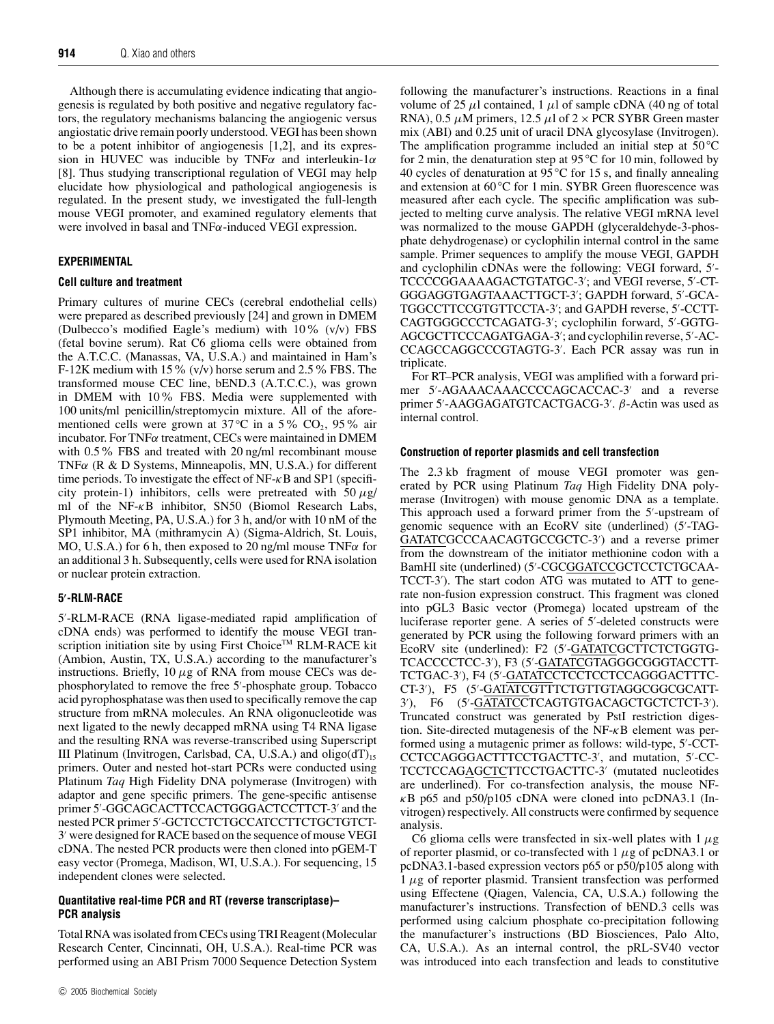Although there is accumulating evidence indicating that angiogenesis is regulated by both positive and negative regulatory factors, the regulatory mechanisms balancing the angiogenic versus angiostatic drive remain poorly understood. VEGI has been shown to be a potent inhibitor of angiogenesis [1,2], and its expression in HUVEC was inducible by TNF $\alpha$  and interleukin-1 $\alpha$ [8]. Thus studying transcriptional regulation of VEGI may help elucidate how physiological and pathological angiogenesis is regulated. In the present study, we investigated the full-length mouse VEGI promoter, and examined regulatory elements that were involved in basal and TNFα-induced VEGI expression.

# **EXPERIMENTAL**

## **Cell culture and treatment**

Primary cultures of murine CECs (cerebral endothelial cells) were prepared as described previously [24] and grown in DMEM (Dulbecco's modified Eagle's medium) with  $10\%$  (v/v) FBS (fetal bovine serum). Rat C6 glioma cells were obtained from the A.T.C.C. (Manassas, VA, U.S.A.) and maintained in Ham's F-12K medium with 15%  $(v/v)$  horse serum and 2.5% FBS. The transformed mouse CEC line, bEND.3 (A.T.C.C.), was grown in DMEM with 10% FBS. Media were supplemented with 100 units/ml penicillin/streptomycin mixture. All of the aforementioned cells were grown at 37 °C in a 5 % CO<sub>2</sub>, 95 % air incubator. For TNF $\alpha$  treatment, CECs were maintained in DMEM with 0.5% FBS and treated with 20 ng/ml recombinant mouse TNF $\alpha$  (R & D Systems, Minneapolis, MN, U.S.A.) for different time periods. To investigate the effect of  $NF-\kappa B$  and SP1 (specificity protein-1) inhibitors, cells were pretreated with  $50 \mu g$ / ml of the NF-κB inhibitor, SN50 (Biomol Research Labs, Plymouth Meeting, PA, U.S.A.) for 3 h, and/or with 10 nM of the SP1 inhibitor, MA (mithramycin A) (Sigma-Aldrich, St. Louis, MO, U.S.A.) for 6 h, then exposed to 20 ng/ml mouse  $TNF\alpha$  for an additional 3 h. Subsequently, cells were used for RNA isolation or nuclear protein extraction.

## **5 -RLM-RACE**

5- -RLM-RACE (RNA ligase-mediated rapid amplification of cDNA ends) was performed to identify the mouse VEGI transcription initiation site by using First Choice™ RLM-RACE kit (Ambion, Austin, TX, U.S.A.) according to the manufacturer's instructions. Briefly,  $10 \mu$ g of RNA from mouse CECs was dephosphorylated to remove the free 5'-phosphate group. Tobacco acid pyrophosphatase was then used to specifically remove the cap structure from mRNA molecules. An RNA oligonucleotide was next ligated to the newly decapped mRNA using T4 RNA ligase and the resulting RNA was reverse-transcribed using Superscript III Platinum (Invitrogen, Carlsbad, CA, U.S.A.) and  $oligo(dT)_{15}$ primers. Outer and nested hot-start PCRs were conducted using Platinum *Taq* High Fidelity DNA polymerase (Invitrogen) with adaptor and gene specific primers. The gene-specific antisense primer 5'-GGCAGCACTTCCACTGGGACTCCTTCT-3' and the nested PCR primer 5'-GCTCCTCTGCCATCCTTCTGCTGTCT-3' were designed for RACE based on the sequence of mouse VEGI cDNA. The nested PCR products were then cloned into pGEM-T easy vector (Promega, Madison, WI, U.S.A.). For sequencing, 15 independent clones were selected.

## **Quantitative real-time PCR and RT (reverse transcriptase)– PCR analysis**

Total RNA was isolated from CECs using TRI Reagent (Molecular Research Center, Cincinnati, OH, U.S.A.). Real-time PCR was performed using an ABI Prism 7000 Sequence Detection System following the manufacturer's instructions. Reactions in a final volume of 25  $\mu$ l contained, 1  $\mu$ l of sample cDNA (40 ng of total RNA), 0.5  $\mu$ M primers, 12.5  $\mu$ l of 2 × PCR SYBR Green master mix (ABI) and 0.25 unit of uracil DNA glycosylase (Invitrogen). The amplification programme included an initial step at 50 *◦*C for 2 min, the denaturation step at 95 *◦* C for 10 min, followed by 40 cycles of denaturation at 95 *◦* C for 15 s, and finally annealing and extension at 60 *◦* C for 1 min. SYBR Green fluorescence was measured after each cycle. The specific amplification was subjected to melting curve analysis. The relative VEGI mRNA level was normalized to the mouse GAPDH (glyceraldehyde-3-phosphate dehydrogenase) or cyclophilin internal control in the same sample. Primer sequences to amplify the mouse VEGI, GAPDH and cyclophilin cDNAs were the following: VEGI forward, 5'-TCCCCGGAAAAGACTGTATGC-3'; and VEGI reverse, 5'-CT-GGGAGGTGAGTAAACTTGCT-3'; GAPDH forward, 5'-GCA-TGGCCTTCCGTGTTCCTA-3'; and GAPDH reverse, 5'-CCTT-CAGTGGGCCCTCAGATG-3'; cyclophilin forward, 5'-GGTG-AGCGCTTCCCAGATGAGA-3'; and cyclophilin reverse, 5'-AC-CCAGCCAGGCCCGTAGTG-3'. Each PCR assay was run in triplicate.

For RT–PCR analysis, VEGI was amplified with a forward primer 5'-AGAAACAAACCCCAGCACCAC-3' and a reverse primer 5'-AAGGAGATGTCACTGACG-3'. β-Actin was used as internal control.

#### **Construction of reporter plasmids and cell transfection**

The 2.3 kb fragment of mouse VEGI promoter was generated by PCR using Platinum *Taq* High Fidelity DNA polymerase (Invitrogen) with mouse genomic DNA as a template. This approach used a forward primer from the 5'-upstream of genomic sequence with an EcoRV site (underlined) (5'-TAG-GATATCGCCCAACAGTGCCGCTC-3') and a reverse primer from the downstream of the initiator methionine codon with a BamHI site (underlined) (5'-CGCGGATCCGCTCCTCTGCAA-TCCT-3<sup>'</sup>). The start codon ATG was mutated to ATT to generate non-fusion expression construct. This fragment was cloned into pGL3 Basic vector (Promega) located upstream of the luciferase reporter gene. A series of 5'-deleted constructs were generated by PCR using the following forward primers with an EcoRV site (underlined): F2 (5'-GATATCGCTTCTCTGGTG-TCACCCCTCC-3'), F3 (5'-<u>GATATC</u>GTAGGGCGGGTACCTT-TCTGAC-3'), F4 (5'-<u>GATATC</u>CTCCTCCTCCAGGGACTTTC-CT-3'), F5 (5'-GATATCGTTTCTGTTGTAGGCGGCGCATT-3′), F6 (5′-<u>GATATC</u>CTCAGTGTGACAGCTGCTCTCT-3′). Truncated construct was generated by PstI restriction digestion. Site-directed mutagenesis of the  $NF- $\kappa$ B$  element was performed using a mutagenic primer as follows: wild-type, 5'-CCT-CCTCCAGGGACTTTCCTGACTTC-3', and mutation, 5'-CC-TCCTCCAGAGCTCTTCCTGACTTC-3' (mutated nucleotides are underlined). For co-transfection analysis, the mouse NF- $\kappa$ B p65 and p50/p105 cDNA were cloned into pcDNA3.1 (Invitrogen) respectively. All constructs were confirmed by sequence analysis.

C6 glioma cells were transfected in six-well plates with  $1 \mu$ g of reporter plasmid, or co-transfected with  $1 \mu$ g of pcDNA3.1 or pcDNA3.1-based expression vectors p65 or p50/p105 along with  $1 \mu$ g of reporter plasmid. Transient transfection was performed using Effectene (Qiagen, Valencia, CA, U.S.A.) following the manufacturer's instructions. Transfection of bEND.3 cells was performed using calcium phosphate co-precipitation following the manufacturer's instructions (BD Biosciences, Palo Alto, CA, U.S.A.). As an internal control, the pRL-SV40 vector was introduced into each transfection and leads to constitutive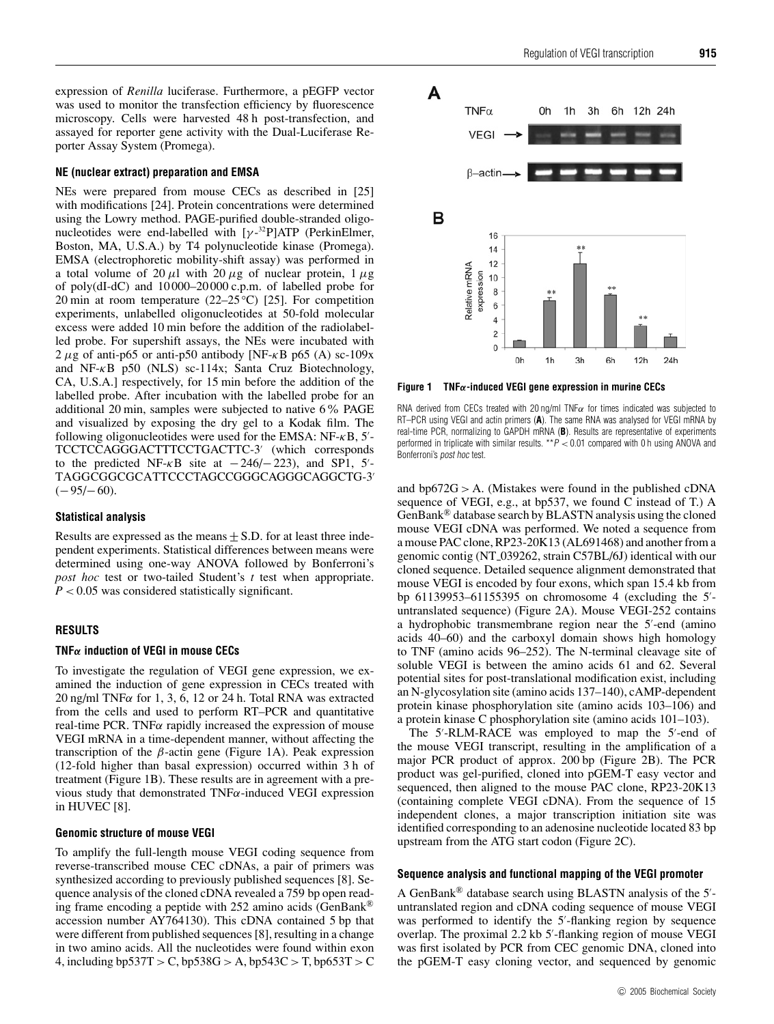expression of *Renilla* luciferase. Furthermore, a pEGFP vector was used to monitor the transfection efficiency by fluorescence microscopy. Cells were harvested 48 h post-transfection, and assayed for reporter gene activity with the Dual-Luciferase Reporter Assay System (Promega).

#### **NE (nuclear extract) preparation and EMSA**

NEs were prepared from mouse CECs as described in [25] with modifications [24]. Protein concentrations were determined using the Lowry method. PAGE-purified double-stranded oligonucleotides were end-labelled with  $[\gamma^{-32}P]ATP$  (PerkinElmer, Boston, MA, U.S.A.) by T4 polynucleotide kinase (Promega). EMSA (electrophoretic mobility-shift assay) was performed in a total volume of 20  $\mu$ l with 20  $\mu$ g of nuclear protein, 1  $\mu$ g of poly(dI-dC) and 10 000–20 000 c.p.m. of labelled probe for 20 min at room temperature (22–25 *◦* C) [25]. For competition experiments, unlabelled oligonucleotides at 50-fold molecular excess were added 10 min before the addition of the radiolabelled probe. For supershift assays, the NEs were incubated with 2  $\mu$ g of anti-p65 or anti-p50 antibody [NF- $\kappa$ B p65 (A) sc-109x and NF-κB p50 (NLS) sc-114x; Santa Cruz Biotechnology, CA, U.S.A.] respectively, for 15 min before the addition of the labelled probe. After incubation with the labelled probe for an additional 20 min, samples were subjected to native 6% PAGE and visualized by exposing the dry gel to a Kodak film. The following oligonucleotides were used for the EMSA:  $NF-\kappa B$ , 5'-TCCTCCAGGGACTTTCCTGACTTC-3' (which corresponds to the predicted NF- $\kappa$ B site at  $-246/-223$ ), and SP1, 5'-<br> $\kappa$ TAGGCGGCGCATTCCCTAGCCGGGCAGGGCAGGCTG-3-  $(-95/-60)$ .

#### **Statistical analysis**

Results are expressed as the means  $\pm$  S.D. for at least three independent experiments. Statistical differences between means were determined using one-way ANOVA followed by Bonferroni's *post hoc* test or two-tailed Student's *t* test when appropriate. *P* < 0.05 was considered statistically significant.

#### **RESULTS**

## **TNF***α* **induction of VEGI in mouse CECs**

To investigate the regulation of VEGI gene expression, we examined the induction of gene expression in CECs treated with 20 ng/ml TNF $\alpha$  for 1, 3, 6, 12 or 24 h. Total RNA was extracted from the cells and used to perform RT–PCR and quantitative real-time PCR. TNF $\alpha$  rapidly increased the expression of mouse VEGI mRNA in a time-dependent manner, without affecting the transcription of the β-actin gene (Figure 1A). Peak expression (12-fold higher than basal expression) occurred within 3 h of treatment (Figure 1B). These results are in agreement with a previous study that demonstrated  $TNF\alpha$ -induced VEGI expression in HUVEC [8].

#### **Genomic structure of mouse VEGI**

To amplify the full-length mouse VEGI coding sequence from reverse-transcribed mouse CEC cDNAs, a pair of primers was synthesized according to previously published sequences [8]. Sequence analysis of the cloned cDNA revealed a 759 bp open reading frame encoding a peptide with 252 amino acids (GenBank® accession number AY764130). This cDNA contained 5 bp that were different from published sequences [8], resulting in a change in two amino acids. All the nucleotides were found within exon 4, including bp537T > C, bp538G > A, bp543C > T, bp653T > C



**Figure 1 TNF***α***-induced VEGI gene expression in murine CECs**

RNA derived from CECs treated with 20 ng/ml TNF $\alpha$  for times indicated was subjected to RT–PCR using VEGI and actin primers (**A**). The same RNA was analysed for VEGI mRNA by real-time PCR, normalizing to GAPDH mRNA (**B**). Results are representative of experiments performed in triplicate with similar results.  $^{\star\star}P < 0.01$  compared with 0 h using ANOVA and Bonferroni's post hoc test.

and  $bp672G > A$ . (Mistakes were found in the published cDNA sequence of VEGI, e.g., at bp537, we found C instead of T.) A GenBank® database search by BLASTN analysis using the cloned mouse VEGI cDNA was performed. We noted a sequence from a mouse PAC clone, RP23-20K13 (AL691468) and another from a genomic contig (NT 039262, strain C57BL/6J) identical with our cloned sequence. Detailed sequence alignment demonstrated that mouse VEGI is encoded by four exons, which span 15.4 kb from bp 61139953–61155395 on chromosome 4 (excluding the 5'untranslated sequence) (Figure 2A). Mouse VEGI-252 contains a hydrophobic transmembrane region near the 5'-end (amino acids 40–60) and the carboxyl domain shows high homology to TNF (amino acids 96–252). The N-terminal cleavage site of soluble VEGI is between the amino acids 61 and 62. Several potential sites for post-translational modification exist, including an N-glycosylation site (amino acids 137–140), cAMP-dependent protein kinase phosphorylation site (amino acids 103–106) and a protein kinase C phosphorylation site (amino acids 101–103).

The 5'-RLM-RACE was employed to map the 5'-end of the mouse VEGI transcript, resulting in the amplification of a major PCR product of approx. 200 bp (Figure 2B). The PCR product was gel-purified, cloned into pGEM-T easy vector and sequenced, then aligned to the mouse PAC clone, RP23-20K13 (containing complete VEGI cDNA). From the sequence of 15 independent clones, a major transcription initiation site was identified corresponding to an adenosine nucleotide located 83 bp upstream from the ATG start codon (Figure 2C).

#### **Sequence analysis and functional mapping of the VEGI promoter**

A GenBank<sup>®</sup> database search using BLASTN analysis of the  $5'$ untranslated region and cDNA coding sequence of mouse VEGI was performed to identify the 5'-flanking region by sequence overlap. The proximal 2.2 kb 5'-flanking region of mouse VEGI was first isolated by PCR from CEC genomic DNA, cloned into the pGEM-T easy cloning vector, and sequenced by genomic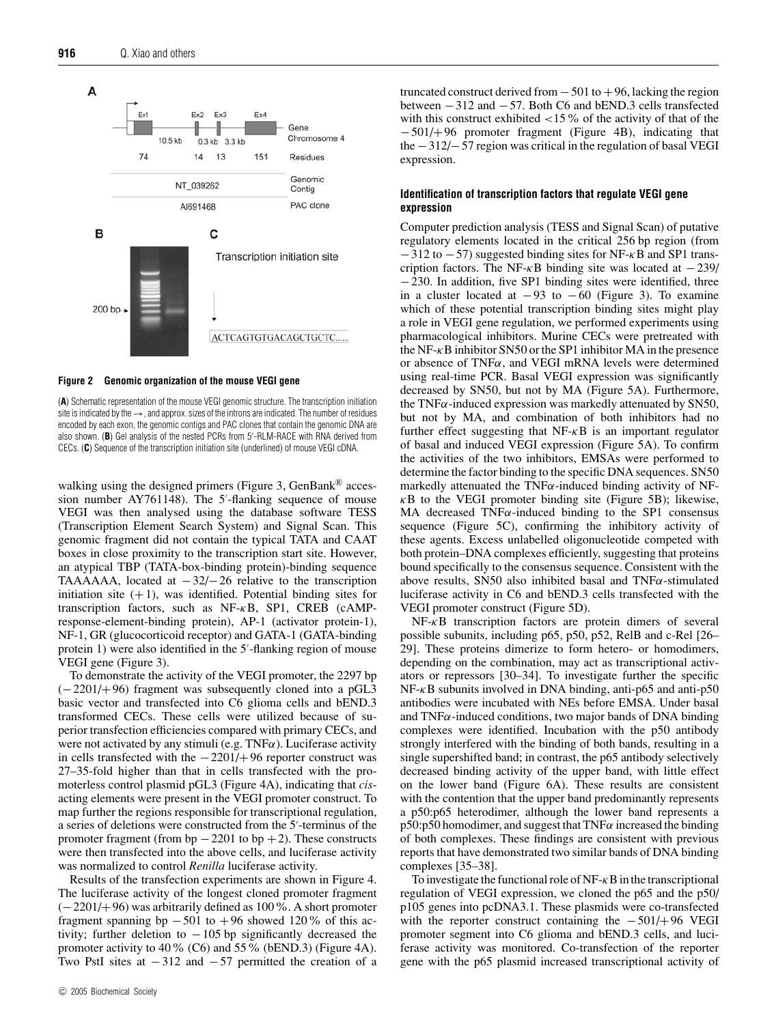

**Figure 2 Genomic organization of the mouse VEGI gene**

(**A**) Schematic representation of the mouse VEGI genomic structure. The transcription initiation site is indicated by the  $\rightarrow$ , and approx. sizes of the introns are indicated. The number of residues encoded by each exon, the genomic contigs and PAC clones that contain the genomic DNA are also shown. (B) Gel analysis of the nested PCRs from 5'-RLM-RACE with RNA derived from CECs. (**C**) Sequence of the transcription initiation site (underlined) of mouse VEGI cDNA.

walking using the designed primers (Figure 3, GenBank<sup>®</sup> accession number AY761148). The 5'-flanking sequence of mouse VEGI was then analysed using the database software TESS (Transcription Element Search System) and Signal Scan. This genomic fragment did not contain the typical TATA and CAAT boxes in close proximity to the transcription start site. However, an atypical TBP (TATA-box-binding protein)-binding sequence TAAAAAA, located at  $-32/-26$  relative to the transcription initiation site  $(+1)$ , was identified. Potential binding sites for transcription factors, such as NF-κB, SP1, CREB (cAMPresponse-element-binding protein), AP-1 (activator protein-1), NF-1, GR (glucocorticoid receptor) and GATA-1 (GATA-binding protein 1) were also identified in the 5'-flanking region of mouse VEGI gene (Figure 3).

To demonstrate the activity of the VEGI promoter, the 2297 bp (−2201/+96) fragment was subsequently cloned into a pGL3 basic vector and transfected into C6 glioma cells and bEND.3 transformed CECs. These cells were utilized because of superior transfection efficiencies compared with primary CECs, and were not activated by any stimuli (e.g.  $TNF\alpha$ ). Luciferase activity in cells transfected with the −2201/+96 reporter construct was 27–35-fold higher than that in cells transfected with the promoterless control plasmid pGL3 (Figure 4A), indicating that *cis*acting elements were present in the VEGI promoter construct. To map further the regions responsible for transcriptional regulation, a series of deletions were constructed from the 5'-terminus of the promoter fragment (from bp  $-2201$  to bp  $+2$ ). These constructs were then transfected into the above cells, and luciferase activity was normalized to control *Renilla* luciferase activity.

Results of the transfection experiments are shown in Figure 4. The luciferase activity of the longest cloned promoter fragment (−2201/+96) was arbitrarily defined as 100%. A short promoter fragment spanning bp  $-501$  to  $+96$  showed 120% of this activity; further deletion to  $-105$  bp significantly decreased the promoter activity to 40% (C6) and 55% (bEND.3) (Figure 4A). Two PstI sites at −312 and −57 permitted the creation of a

c 2005 Biochemical Society

truncated construct derived from  $-501$  to  $+96$ , lacking the region between −312 and −57. Both C6 and bEND.3 cells transfected with this construct exhibited  $\langle 15 \rangle$  of the activity of that of the −501/+96 promoter fragment (Figure 4B), indicating that the −312/−57 region was critical in the regulation of basal VEGI expression.

# **Identification of transcription factors that regulate VEGI gene expression**

Computer prediction analysis (TESS and Signal Scan) of putative regulatory elements located in the critical 256 bp region (from  $-312$  to  $-57$ ) suggested binding sites for NF- $\kappa$ B and SP1 transcription factors. The NF- $\kappa$ B binding site was located at  $-239/$ −230. In addition, five SP1 binding sites were identified, three in a cluster located at  $-93$  to  $-60$  (Figure 3). To examine which of these potential transcription binding sites might play a role in VEGI gene regulation, we performed experiments using pharmacological inhibitors. Murine CECs were pretreated with the NF- $\kappa$ B inhibitor SN50 or the SP1 inhibitor MA in the presence or absence of  $TNF\alpha$ , and VEGI mRNA levels were determined using real-time PCR. Basal VEGI expression was significantly decreased by SN50, but not by MA (Figure 5A). Furthermore, the TNF $\alpha$ -induced expression was markedly attenuated by SN50, but not by MA, and combination of both inhibitors had no further effect suggesting that  $NF- $\kappa$ B$  is an important regulator of basal and induced VEGI expression (Figure 5A). To confirm the activities of the two inhibitors, EMSAs were performed to determine the factor binding to the specific DNA sequences. SN50 markedly attenuated the TNF $\alpha$ -induced binding activity of NF- $\kappa$ B to the VEGI promoter binding site (Figure 5B); likewise, MA decreased  $TNF\alpha$ -induced binding to the SP1 consensus sequence (Figure 5C), confirming the inhibitory activity of these agents. Excess unlabelled oligonucleotide competed with both protein–DNA complexes efficiently, suggesting that proteins bound specifically to the consensus sequence. Consistent with the above results, SN50 also inhibited basal and  $TNF\alpha$ -stimulated luciferase activity in C6 and bEND.3 cells transfected with the VEGI promoter construct (Figure 5D).

 $NF- $\kappa$ B transcription factors are protein dimers of several$ possible subunits, including p65, p50, p52, RelB and c-Rel [26– 29]. These proteins dimerize to form hetero- or homodimers, depending on the combination, may act as transcriptional activators or repressors [30–34]. To investigate further the specific  $NF-\kappa B$  subunits involved in DNA binding, anti-p65 and anti-p50 antibodies were incubated with NEs before EMSA. Under basal and  $TNF\alpha$ -induced conditions, two major bands of DNA binding complexes were identified. Incubation with the p50 antibody strongly interfered with the binding of both bands, resulting in a single supershifted band; in contrast, the p65 antibody selectively decreased binding activity of the upper band, with little effect on the lower band (Figure 6A). These results are consistent with the contention that the upper band predominantly represents a p50:p65 heterodimer, although the lower band represents a  $p50:p50$  homodimer, and suggest that TNF $\alpha$  increased the binding of both complexes. These findings are consistent with previous reports that have demonstrated two similar bands of DNA binding complexes [35–38].

To investigate the functional role of  $NF - \kappa B$  in the transcriptional regulation of VEGI expression, we cloned the p65 and the p50/ p105 genes into pcDNA3.1. These plasmids were co-transfected with the reporter construct containing the  $-501/+96$  VEGI promoter segment into C6 glioma and bEND.3 cells, and luciferase activity was monitored. Co-transfection of the reporter gene with the p65 plasmid increased transcriptional activity of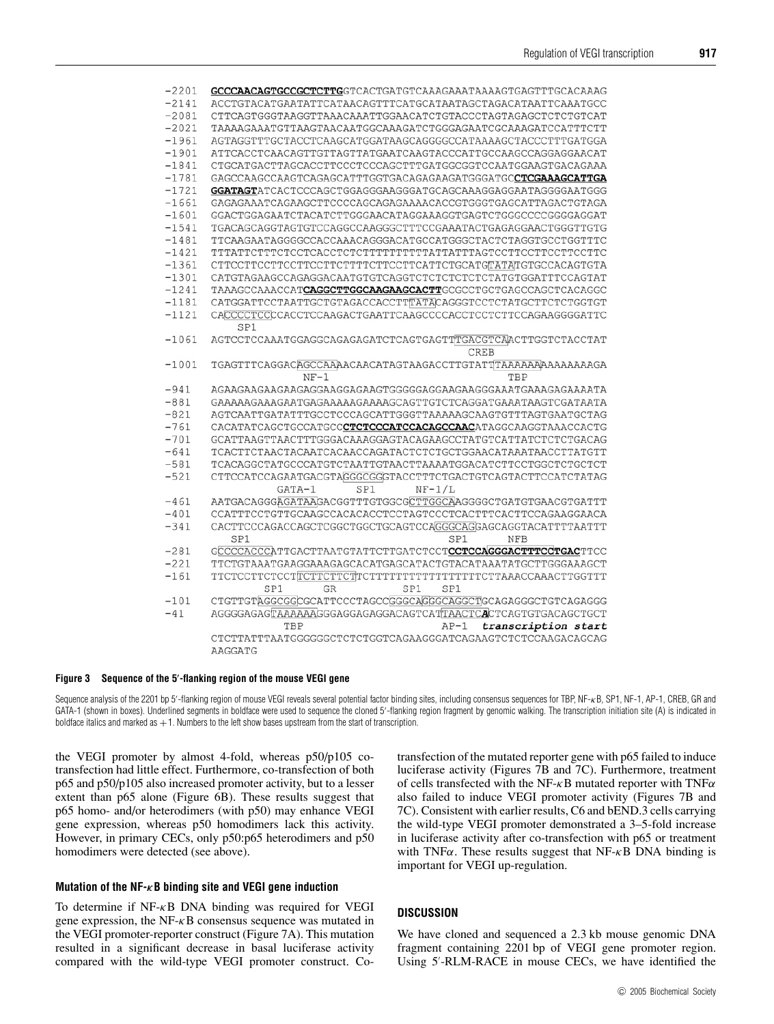| -2201   | GCCCAACAGTGCCGCTCTTGGTCACTGATGTCAAAGAAATAAAAGTGAGTTTGCACAAAG          |
|---------|-----------------------------------------------------------------------|
| $-2141$ | ACCTGTACATGAATATTCATAACAGTTTCATGCATAATAGCTAGACATAATTCAAATGCC          |
| $-2081$ | CTTCAGTGGGTAAGGTTAAACAAATTGGAACATCTGTACCCTAGTAGAGCTCTCTGTCAT          |
| $-2021$ | TAAAAGAAATGTTAAGTAACAATGGCAAAGATCTGGGAGAATCGCAAAGATCCATTTCTT          |
| $-1961$ | AGTAGGTTTGCTACCTCAAGCATGGATAAGCAGGGGCCATAAAAGCTACCCTTTGATGGA          |
| $-1901$ | ATTCACCTCAACAGTTGTTAGTTATGAATCAAGTACCCATTGCCAAGCCAGGAGGAACAT          |
| $-1841$ | CTGCATGACTTAGCACCTTCCCTCCCAGCTTTGATGGCGGTCCAATGGAAGTGACAGAAA          |
| $-1781$ | GAGCCAAGCCAAGTCAGAGCATTTGGTGACAGAGAAGATGGGATGCCTCGAAAGCATTGA          |
| $-1721$ | GGATAGTATCACTCCCAGCTGGAGGGAAGGGATGCAGCAAAGGAGGAATAGGGGAATGGG          |
| $-1661$ | GAGAGAAATCAGAAGCTTCCCCAGCAGAGAAAACACCGTGGGTGAGCATTAGACTGTAGA          |
| $-1601$ | GGACTGGAGAATCTACATCTTGGGAACATAGGAAAGGTGAGTCTGGGCCCCGGGGAGGAT          |
| $-1541$ | TGACAGCAGGTAGTGTCCAGGCCAAGGGCTTTCCGAAATACTGAGAGGAACTGGGTTGTG          |
| $-1481$ | TTCAAGAATAGGGGCCACCAAACAGGGACATGCCATGGGCTACTCTAGGTGCCTGGTTTC          |
| $-1421$ |                                                                       |
| $-1361$ | CTTCCTTCCTTCCTTCCTTCTTTTCTTCCTTCATTCTGCATGTATATGTGCCACAGTGTA          |
| $-1301$ |                                                                       |
| $-1241$ | TAAAGCCAAACCAT <b>CAGGCTTGGCAAGAAGCACTT</b> GCGCCTGCTGAGCCAGCTCACAGGC |
| $-1181$ | CATGGATTCCTAATTGCTGTAGACCACCTTTATACAGGGTCCTCTATGCTTCTCTGGTGT          |
| $-1121$ | CACCCCTCCCCACCTCCAAGACTGAATTCAAGCCCCACCTCCTCTTCCAGAAGGGGATTC<br>SP1   |
| $-1061$ | AGTCCTCCAAATGGAGGCAGAGAGATCTCAGTGAGTTTGACGTCAACTTGGTCTACCTAT          |
|         | <b>CREB</b>                                                           |
| $-1001$ |                                                                       |
|         | $NF-1$<br>TBP                                                         |
| $-941$  | AGAAGAAGAAGAAGAGGAAGGAAGTGGGGGAGGAAGAAGGGAAATGAAAGAGAAAATA            |
| $-881$  | GAAAAAGAAAGAATGAGAAAAAGAAAAGCAGTTGTCTCAGGATGAAATAAGTCGATAATA          |
| $-821$  | AGTCAATTGATATTTGCCTCCCAGCATTGGGTTAAAAAGCAAGTGTTTAGTGAATGCTAG          |
| $-761$  | CACATATCAGCTGCCATGCCCTCTCCCATCCACAGCCAACATAGGCAAGGTAAACCACTG          |
| $-701$  | GCATTAAGTTAACTTTGGGACAAAGGAGTACAGAAGCCTATGTCATTATCTCTCTGACAG          |
| $-641$  |                                                                       |
| $-581$  | TCACAGGCTATGCCCATGTCTAATTGTAACTTAAAATGGACATCTTCCTGGCTCTGCTCT          |
| $-521$  | CTTCCATCCAGAATGACGTAGGGCGGGTACCTTTCTGACTGTCAGTACTTCCATCTATAG          |
|         | GATA-1<br>SP1<br>$NF-1/L$                                             |
| $-461$  | AATGACAGGGAGATAAGACGGTTTGTGGCGCTTGGCAAGGGGCTGATGTGAACGTGATTT          |
| $-401$  | CCATTTCCTGTTGCAAGCCACACACCTCCTAGTCCCTCACTTTCACTTCCAGAAGGAACA          |
| $-341$  | CACTTCCCAGACCAGCTCGGCTGGCTGCAGTCCAGGGCAGGAGCAGGTACATTTTAATTT          |
|         | SP1<br>SP1<br><b>NFB</b>                                              |
| $-281$  | GCCCCACCCATTGACTTAATGTATTCTTGATCTCCTCCTCCAGGGACTTTCCTGACTTCC          |
| $-221$  | TTCTGTAAATGAAGGAAAGAGCACATGAGCATACTGTACATAAATATGCTTGGGAAAGCT          |
| $-161$  |                                                                       |
|         | SP1<br><b>GR</b><br>SP1<br>SP1                                        |
| $-101$  |                                                                       |
| $-41$   |                                                                       |
|         | TBP<br>$AP-1$<br>transcription start                                  |
|         | CTCTTATTTAATGGGGGGCTCTCTGGTCAGAAGGGATCAGAAGTCTCTCCAAGACAGCAG          |
|         | AAGGATG                                                               |

#### **Figure 3 Sequence of the 5 -flanking region of the mouse VEGI gene**

Sequence analysis of the 2201 bp 5'-flanking region of mouse VEGI reveals several potential factor binding sites, including consensus sequences for TBP, NF- $\kappa$ B, SP1, NF-1, AP-1, CREB, GR and GATA-1 (shown in boxes). Underlined segments in boldface were used to sequence the cloned 5'-flanking region fragment by genomic walking. The transcription initiation site (A) is indicated in boldface italics and marked as  $+1$ . Numbers to the left show bases upstream from the start of transcription.

the VEGI promoter by almost 4-fold, whereas p50/p105 cotransfection had little effect. Furthermore, co-transfection of both p65 and p50/p105 also increased promoter activity, but to a lesser extent than p65 alone (Figure 6B). These results suggest that p65 homo- and/or heterodimers (with p50) may enhance VEGI gene expression, whereas p50 homodimers lack this activity. However, in primary CECs, only p50:p65 heterodimers and p50 homodimers were detected (see above).

#### **Mutation of the NF-***κ***B binding site and VEGI gene induction**

To determine if  $NF- $\kappa$ B DNA binding was required for VEGI$ gene expression, the NF-κB consensus sequence was mutated in the VEGI promoter-reporter construct (Figure 7A). This mutation resulted in a significant decrease in basal luciferase activity compared with the wild-type VEGI promoter construct. Cotransfection of the mutated reporter gene with p65 failed to induce luciferase activity (Figures 7B and 7C). Furthermore, treatment of cells transfected with the NF- $\kappa$ B mutated reporter with TNF $\alpha$ also failed to induce VEGI promoter activity (Figures 7B and 7C). Consistent with earlier results, C6 and bEND.3 cells carrying the wild-type VEGI promoter demonstrated a 3–5-fold increase in luciferase activity after co-transfection with p65 or treatment with TNF $\alpha$ . These results suggest that NF- $\kappa$ B DNA binding is important for VEGI up-regulation.

#### **DISCUSSION**

We have cloned and sequenced a 2.3 kb mouse genomic DNA fragment containing 2201 bp of VEGI gene promoter region. Using 5'-RLM-RACE in mouse CECs, we have identified the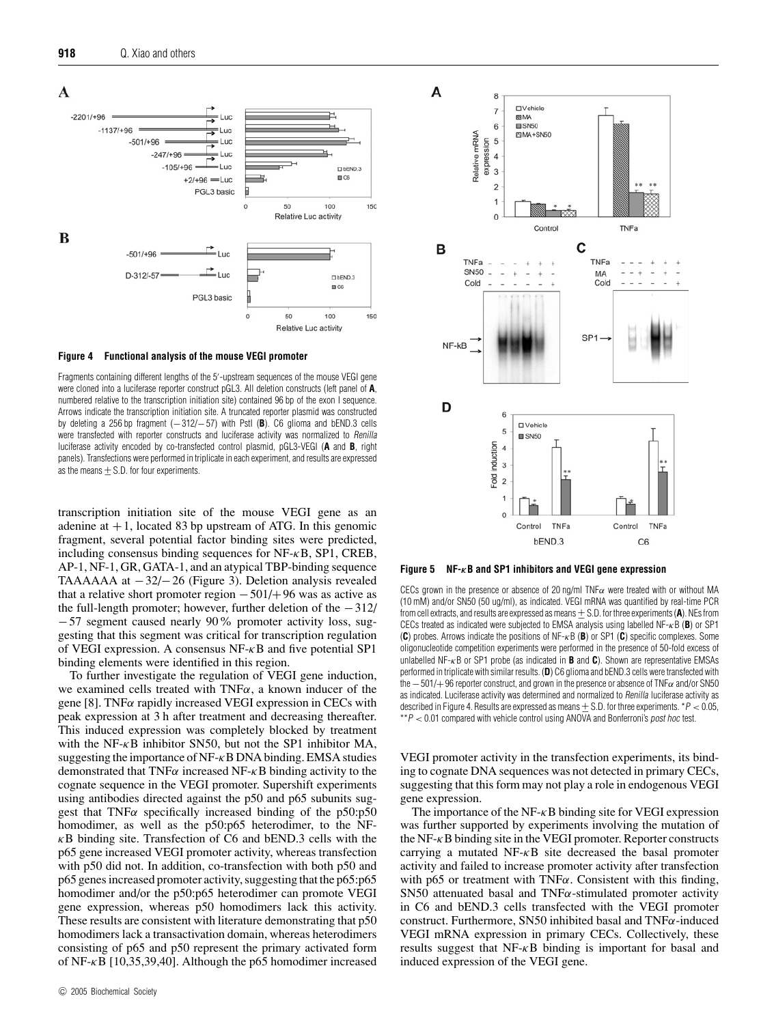

#### **Figure 4 Functional analysis of the mouse VEGI promoter**

Fragments containing different lengths of the 5'-upstream sequences of the mouse VEGI gene were cloned into a luciferase reporter construct pGL3. All deletion constructs (left panel of **A**, numbered relative to the transcription initiation site) contained 96 bp of the exon I sequence. Arrows indicate the transcription initiation site. A truncated reporter plasmid was constructed by deleting a 256 bp fragment (−312/−57) with PstI (**B**). C6 glioma and bEND.3 cells were transfected with reporter constructs and luciferase activity was normalized to *Renilla* luciferase activity encoded by co-transfected control plasmid, pGL3-VEGI (**A** and **B**, right panels). Transfections were performed in triplicate in each experiment, and results are expressed as the means  $+ S.D.$  for four experiments.

transcription initiation site of the mouse VEGI gene as an adenine at  $+1$ , located 83 bp upstream of ATG. In this genomic fragment, several potential factor binding sites were predicted, including consensus binding sequences for  $NF-<sub>k</sub>B$ , SP1, CREB, AP-1, NF-1, GR, GATA-1, and an atypical TBP-binding sequence TAAAAAA at −32/−26 (Figure 3). Deletion analysis revealed that a relative short promoter region  $-501/+96$  was as active as the full-length promoter; however, further deletion of the −312/ −57 segment caused nearly 90% promoter activity loss, suggesting that this segment was critical for transcription regulation of VEGI expression. A consensus  $NF - \kappa B$  and five potential SP1 binding elements were identified in this region.

To further investigate the regulation of VEGI gene induction, we examined cells treated with  $TNF\alpha$ , a known inducer of the gene [8]. TNF $\alpha$  rapidly increased VEGI expression in CECs with peak expression at 3 h after treatment and decreasing thereafter. This induced expression was completely blocked by treatment with the NF- $\kappa$ B inhibitor SN50, but not the SP1 inhibitor MA, suggesting the importance of  $NF-\kappa B$  DNA binding. EMSA studies demonstrated that TNF $\alpha$  increased NF- $\kappa$ B binding activity to the cognate sequence in the VEGI promoter. Supershift experiments using antibodies directed against the p50 and p65 subunits suggest that  $TNF\alpha$  specifically increased binding of the p50:p50 homodimer, as well as the p50:p65 heterodimer, to the NF- $\kappa$ B binding site. Transfection of C6 and bEND.3 cells with the p65 gene increased VEGI promoter activity, whereas transfection with p50 did not. In addition, co-transfection with both p50 and p65 genes increased promoter activity, suggesting that the p65:p65 homodimer and/or the p50:p65 heterodimer can promote VEGI gene expression, whereas p50 homodimers lack this activity. These results are consistent with literature demonstrating that p50 homodimers lack a transactivation domain, whereas heterodimers consisting of p65 and p50 represent the primary activated form of NF-κB [10,35,39,40]. Although the p65 homodimer increased



**Figure 5 NF-***κ***B and SP1 inhibitors and VEGI gene expression**

CECs grown in the presence or absence of 20 ng/ml TNF $\alpha$  were treated with or without MA (10 mM) and/or SN50 (50 ug/ml), as indicated. VEGI mRNA was quantified by real-time PCR from cell extracts, and results are expressed as means +− S.D. for three experiments (**A**). NEs from CECs treated as indicated were subjected to EMSA analysis using labelled NF-κB (**B**) or SP1 (**C**) probes. Arrows indicate the positions of NF-κB (**B**) or SP1 (**C**) specific complexes. Some oligonucleotide competition experiments were performed in the presence of 50-fold excess of unlabelled NF-κB or SP1 probe (as indicated in **B** and **C**). Shown are representative EMSAs performed in triplicate with similar results. (**D**) C6 glioma and bEND.3 cells were transfected with the  $-501/+96$  reporter construct, and grown in the presence or absence of TNF $\alpha$  and/or SN50 as indicated. Luciferase activity was determined and normalized to Renilla luciferase activity as described in Figure 4. Results are expressed as means  $+ S.D.$  for three experiments.  $*P < 0.05$ ,  $*P < 0.01$  compared with vehicle control using ANOVA and Bonferroni's post hoc test.

VEGI promoter activity in the transfection experiments, its binding to cognate DNA sequences was not detected in primary CECs, suggesting that this form may not play a role in endogenous VEGI gene expression.

The importance of the NF- $\kappa$ B binding site for VEGI expression was further supported by experiments involving the mutation of the NF- $\kappa$ B binding site in the VEGI promoter. Reporter constructs carrying a mutated NF-κB site decreased the basal promoter activity and failed to increase promoter activity after transfection with p65 or treatment with TNF $\alpha$ . Consistent with this finding, SN50 attenuated basal and  $TNF\alpha$ -stimulated promoter activity in C6 and bEND.3 cells transfected with the VEGI promoter construct. Furthermore, SN50 inhibited basal and TNF $\alpha$ -induced VEGI mRNA expression in primary CECs. Collectively, these results suggest that  $NF-<sub>K</sub>B$  binding is important for basal and induced expression of the VEGI gene.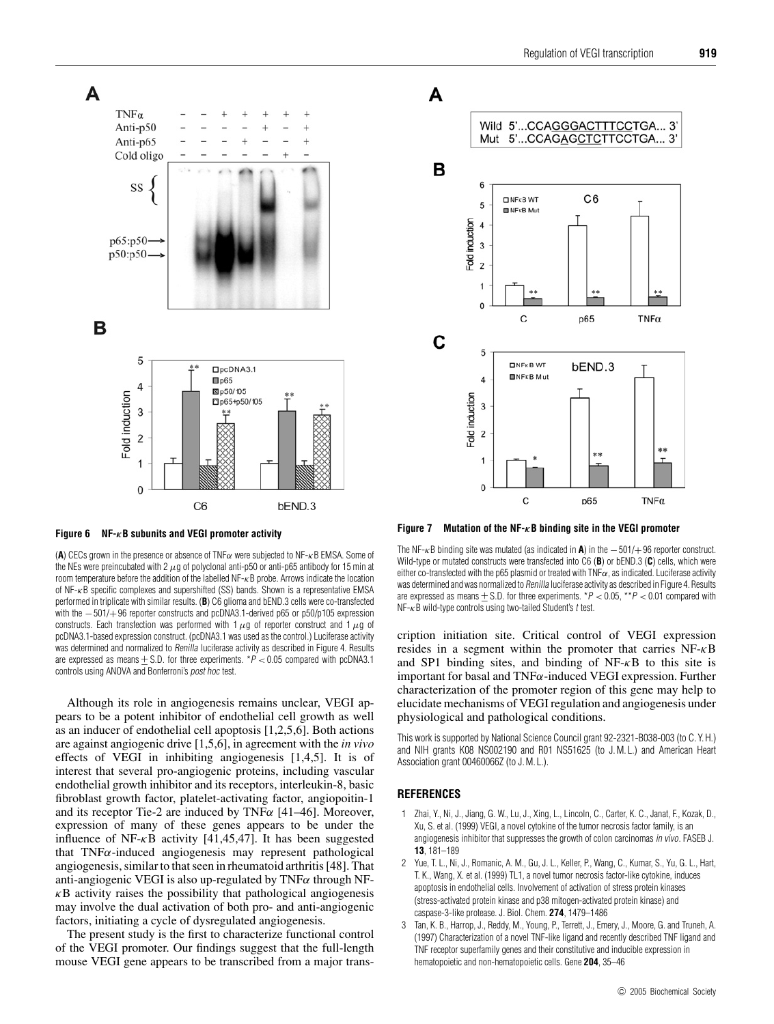

**Figure 6 NF-***κ***B subunits and VEGI promoter activity**

(**A**) CECs grown in the presence or absence of TNFα were subjected to NF-κB EMSA. Some of the NEs were preincubated with 2  $\mu$ g of polyclonal anti-p50 or anti-p65 antibody for 15 min at room temperature before the addition of the labelled NF-κB probe. Arrows indicate the location of NF-κB specific complexes and supershifted (SS) bands. Shown is a representative EMSA performed in triplicate with similar results. (**B**) C6 glioma and bEND.3 cells were co-transfected with the  $-501/+96$  reporter constructs and pcDNA3.1-derived p65 or p50/p105 expression constructs. Each transfection was performed with 1  $\mu$ g of reporter construct and 1  $\mu$ g of pcDNA3.1-based expression construct. (pcDNA3.1 was used as the control.) Luciferase activity was determined and normalized to Renilla luciferase activity as described in Figure 4. Results are expressed as means  $\pm$  S.D. for three experiments. \*P < 0.05 compared with pcDNA3.1 controls using ANOVA and Bonferroni's post hoc test.

Although its role in angiogenesis remains unclear, VEGI appears to be a potent inhibitor of endothelial cell growth as well as an inducer of endothelial cell apoptosis [1,2,5,6]. Both actions are against angiogenic drive [1,5,6], in agreement with the *in vivo* effects of VEGI in inhibiting angiogenesis [1,4,5]. It is of interest that several pro-angiogenic proteins, including vascular endothelial growth inhibitor and its receptors, interleukin-8, basic fibroblast growth factor, platelet-activating factor, angiopoitin-1 and its receptor Tie-2 are induced by TNF $\alpha$  [41–46]. Moreover, expression of many of these genes appears to be under the influence of NF- $\kappa$ B activity [41,45,47]. It has been suggested that TNFα-induced angiogenesis may represent pathological angiogenesis, similar to that seen in rheumatoid arthritis [48]. That anti-angiogenic VEGI is also up-regulated by  $TNF\alpha$  through NF- $\kappa$ B activity raises the possibility that pathological angiogenesis may involve the dual activation of both pro- and anti-angiogenic factors, initiating a cycle of dysregulated angiogenesis.

The present study is the first to characterize functional control of the VEGI promoter. Our findings suggest that the full-length mouse VEGI gene appears to be transcribed from a major trans-



**Figure 7 Mutation of the NF-***κ***B binding site in the VEGI promoter**

The NF-κB binding site was mutated (as indicated in **A**) in the −501/+96 reporter construct. Wild-type or mutated constructs were transfected into C6 (**B**) or bEND.3 (**C**) cells, which were either co-transfected with the p65 plasmid or treated with  $TNF\alpha$ , as indicated. Luciferase activity was determined and was normalized to Renilla luciferase activity as described in Figure 4. Results are expressed as means  $\pm$  S.D. for three experiments. \*P < 0.05, \*\*P < 0.01 compared with  $NF - \kappa B$  wild-type controls using two-tailed Student's t test.

cription initiation site. Critical control of VEGI expression resides in a segment within the promoter that carries NF-κB and SP1 binding sites, and binding of  $NF- $\kappa$ B$  to this site is important for basal and  $TNF\alpha$ -induced VEGI expression. Further characterization of the promoter region of this gene may help to elucidate mechanisms of VEGI regulation and angiogenesis under physiological and pathological conditions.

This work is supported by National Science Council grant 92-2321-B038-003 (to C. Y. H.) and NIH grants K08 NS002190 and R01 NS51625 (to J. M. L.) and American Heart Association grant 00460066Z (to J. M. L.).

#### **REFERENCES**

- 1 Zhai, Y., Ni, J., Jiang, G. W., Lu, J., Xing, L., Lincoln, C., Carter, K. C., Janat, F., Kozak, D., Xu, S. et al. (1999) VEGI, a novel cytokine of the tumor necrosis factor family, is an angiogenesis inhibitor that suppresses the growth of colon carcinomas in vivo. FASEB J. **13**, 181–189
- 2 Yue, T. L., Ni, J., Romanic, A. M., Gu, J. L., Keller, P., Wang, C., Kumar, S., Yu, G. L., Hart, T. K., Wang, X. et al. (1999) TL1, a novel tumor necrosis factor-like cytokine, induces apoptosis in endothelial cells. Involvement of activation of stress protein kinases (stress-activated protein kinase and p38 mitogen-activated protein kinase) and caspase-3-like protease. J. Biol. Chem. **274**, 1479–1486
- 3 Tan, K. B., Harrop, J., Reddy, M., Young, P., Terrett, J., Emery, J., Moore, G. and Truneh, A. (1997) Characterization of a novel TNF-like ligand and recently described TNF ligand and TNF receptor superfamily genes and their constitutive and inducible expression in hematopoietic and non-hematopoietic cells. Gene **204**, 35–46